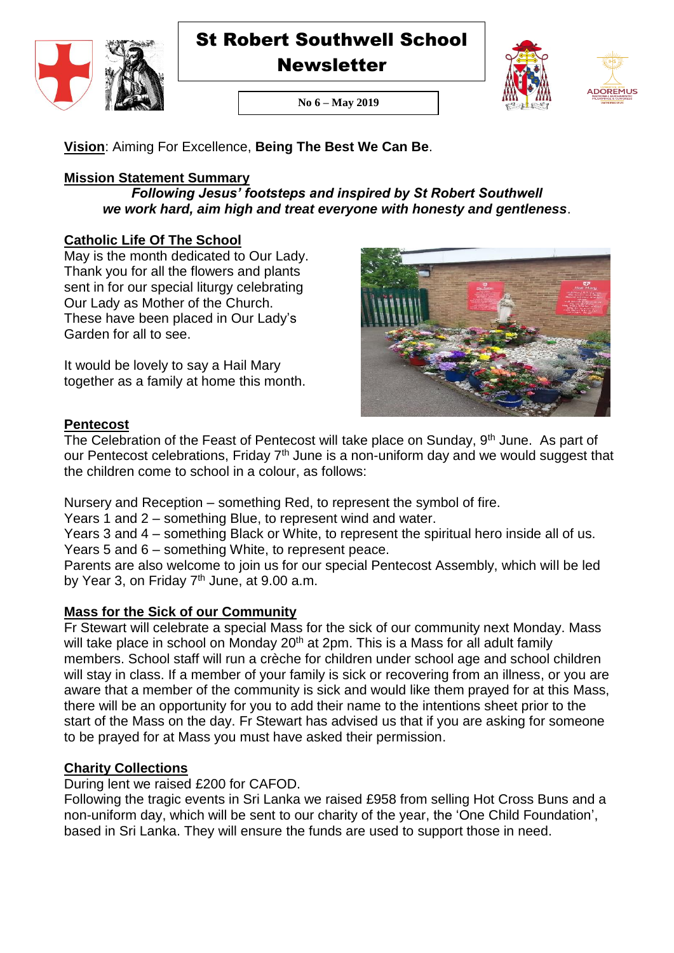

**Newsletter** 





**No 6 – May 2019**

**Vision**: Aiming For Excellence, **Being The Best We Can Be**.

# **Mission Statement Summary**

*Following Jesus' footsteps and inspired by St Robert Southwell we work hard, aim high and treat everyone with honesty and gentleness*.

# **Catholic Life Of The School**

May is the month dedicated to Our Lady. Thank you for all the flowers and plants sent in for our special liturgy celebrating Our Lady as Mother of the Church. These have been placed in Our Lady's Garden for all to see.

It would be lovely to say a Hail Mary together as a family at home this month.



# **Pentecost**

The Celebration of the Feast of Pentecost will take place on Sunday, 9<sup>th</sup> June. As part of our Pentecost celebrations, Friday  $7<sup>th</sup>$  June is a non-uniform day and we would suggest that the children come to school in a colour, as follows:

Nursery and Reception – something Red, to represent the symbol of fire.

Years 1 and 2 – something Blue, to represent wind and water.

Years 3 and 4 – something Black or White, to represent the spiritual hero inside all of us. Years 5 and 6 – something White, to represent peace.

Parents are also welcome to join us for our special Pentecost Assembly, which will be led by Year 3, on Friday  $7<sup>th</sup>$  June, at 9.00 a.m.

# **Mass for the Sick of our Community**

Fr Stewart will celebrate a special Mass for the sick of our community next Monday. Mass will take place in school on Monday  $20<sup>th</sup>$  at  $2pm$ . This is a Mass for all adult family members. School staff will run a crèche for children under school age and school children will stay in class. If a member of your family is sick or recovering from an illness, or you are aware that a member of the community is sick and would like them prayed for at this Mass, there will be an opportunity for you to add their name to the intentions sheet prior to the start of the Mass on the day. Fr Stewart has advised us that if you are asking for someone to be prayed for at Mass you must have asked their permission.

# **Charity Collections**

During lent we raised £200 for CAFOD.

Following the tragic events in Sri Lanka we raised £958 from selling Hot Cross Buns and a non-uniform day, which will be sent to our charity of the year, the 'One Child Foundation', based in Sri Lanka. They will ensure the funds are used to support those in need.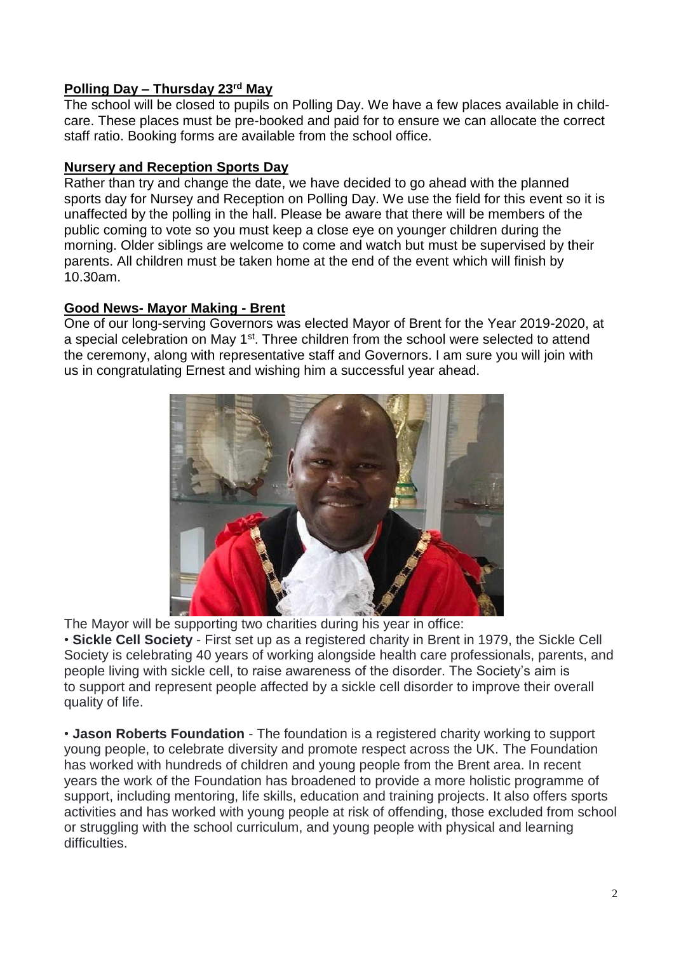# **Polling Day – Thursday 23rd May**

The school will be closed to pupils on Polling Day. We have a few places available in childcare. These places must be pre-booked and paid for to ensure we can allocate the correct staff ratio. Booking forms are available from the school office.

# **Nursery and Reception Sports Day**

Rather than try and change the date, we have decided to go ahead with the planned sports day for Nursey and Reception on Polling Day. We use the field for this event so it is unaffected by the polling in the hall. Please be aware that there will be members of the public coming to vote so you must keep a close eye on younger children during the morning. Older siblings are welcome to come and watch but must be supervised by their parents. All children must be taken home at the end of the event which will finish by 10.30am.

# **Good News- Mayor Making - Brent**

One of our long-serving Governors was elected Mayor of Brent for the Year 2019-2020, at a special celebration on May 1<sup>st</sup>. Three children from the school were selected to attend the ceremony, along with representative staff and Governors. I am sure you will join with us in congratulating Ernest and wishing him a successful year ahead.



The Mayor will be supporting two charities during his year in office:

• **Sickle Cell Society** - First set up as a registered charity in Brent in 1979, the Sickle Cell Society is celebrating 40 years of working alongside health care professionals, parents, and people living with sickle cell, to raise awareness of the disorder. The Society's aim is to support and represent people affected by a sickle cell disorder to improve their overall quality of life.

• **Jason Roberts Foundation** - The foundation is a registered charity working to support young people, to celebrate diversity and promote respect across the UK. The Foundation has worked with hundreds of children and young people from the Brent area. In recent years the work of the Foundation has broadened to provide a more holistic programme of support, including mentoring, life skills, education and training projects. It also offers sports activities and has worked with young people at risk of offending, those excluded from school or struggling with the school curriculum, and young people with physical and learning difficulties.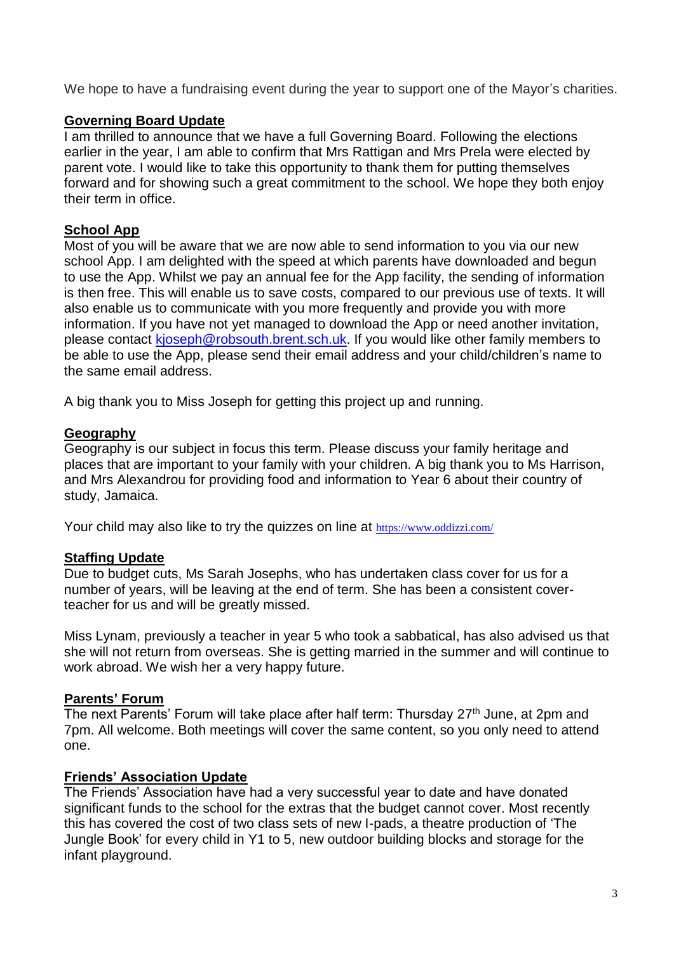We hope to have a fundraising event during the year to support one of the Mayor's charities.

### **Governing Board Update**

I am thrilled to announce that we have a full Governing Board. Following the elections earlier in the year, I am able to confirm that Mrs Rattigan and Mrs Prela were elected by parent vote. I would like to take this opportunity to thank them for putting themselves forward and for showing such a great commitment to the school. We hope they both enjoy their term in office.

# **School App**

Most of you will be aware that we are now able to send information to you via our new school App. I am delighted with the speed at which parents have downloaded and begun to use the App. Whilst we pay an annual fee for the App facility, the sending of information is then free. This will enable us to save costs, compared to our previous use of texts. It will also enable us to communicate with you more frequently and provide you with more information. If you have not yet managed to download the App or need another invitation, please contact [kjoseph@robsouth.brent.sch.uk.](mailto:kjoseph@robsouth.brent.sch.uk) If you would like other family members to be able to use the App, please send their email address and your child/children's name to the same email address.

A big thank you to Miss Joseph for getting this project up and running.

# **Geography**

Geography is our subject in focus this term. Please discuss your family heritage and places that are important to your family with your children. A big thank you to Ms Harrison, and Mrs Alexandrou for providing food and information to Year 6 about their country of study, Jamaica.

Your child may also like to try the quizzes on line at <https://www.oddizzi.com/>

# **Staffing Update**

Due to budget cuts, Ms Sarah Josephs, who has undertaken class cover for us for a number of years, will be leaving at the end of term. She has been a consistent coverteacher for us and will be greatly missed.

Miss Lynam, previously a teacher in year 5 who took a sabbatical, has also advised us that she will not return from overseas. She is getting married in the summer and will continue to work abroad. We wish her a very happy future.

# **Parents' Forum**

The next Parents' Forum will take place after half term: Thursday 27<sup>th</sup> June, at 2pm and 7pm. All welcome. Both meetings will cover the same content, so you only need to attend one.

# **Friends' Association Update**

The Friends' Association have had a very successful year to date and have donated significant funds to the school for the extras that the budget cannot cover. Most recently this has covered the cost of two class sets of new I-pads, a theatre production of 'The Jungle Book' for every child in Y1 to 5, new outdoor building blocks and storage for the infant playground.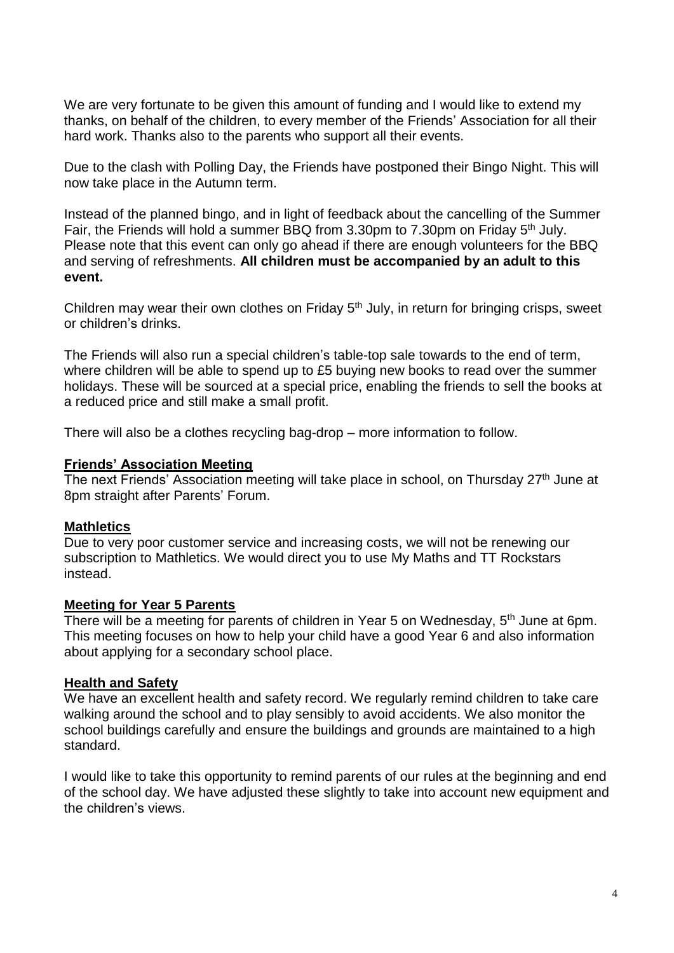We are very fortunate to be given this amount of funding and I would like to extend my thanks, on behalf of the children, to every member of the Friends' Association for all their hard work. Thanks also to the parents who support all their events.

Due to the clash with Polling Day, the Friends have postponed their Bingo Night. This will now take place in the Autumn term.

Instead of the planned bingo, and in light of feedback about the cancelling of the Summer Fair, the Friends will hold a summer BBQ from 3.30pm to 7.30pm on Friday 5<sup>th</sup> July. Please note that this event can only go ahead if there are enough volunteers for the BBQ and serving of refreshments. **All children must be accompanied by an adult to this event.**

Children may wear their own clothes on Friday  $5<sup>th</sup>$  July, in return for bringing crisps, sweet or children's drinks.

The Friends will also run a special children's table-top sale towards to the end of term, where children will be able to spend up to £5 buying new books to read over the summer holidays. These will be sourced at a special price, enabling the friends to sell the books at a reduced price and still make a small profit.

There will also be a clothes recycling bag-drop – more information to follow.

#### **Friends' Association Meeting**

The next Friends' Association meeting will take place in school, on Thursday 27<sup>th</sup> June at 8pm straight after Parents' Forum.

### **Mathletics**

Due to very poor customer service and increasing costs, we will not be renewing our subscription to Mathletics. We would direct you to use My Maths and TT Rockstars instead.

#### **Meeting for Year 5 Parents**

There will be a meeting for parents of children in Year 5 on Wednesday, 5<sup>th</sup> June at 6pm. This meeting focuses on how to help your child have a good Year 6 and also information about applying for a secondary school place.

### **Health and Safety**

We have an excellent health and safety record. We regularly remind children to take care walking around the school and to play sensibly to avoid accidents. We also monitor the school buildings carefully and ensure the buildings and grounds are maintained to a high standard.

I would like to take this opportunity to remind parents of our rules at the beginning and end of the school day. We have adjusted these slightly to take into account new equipment and the children's views.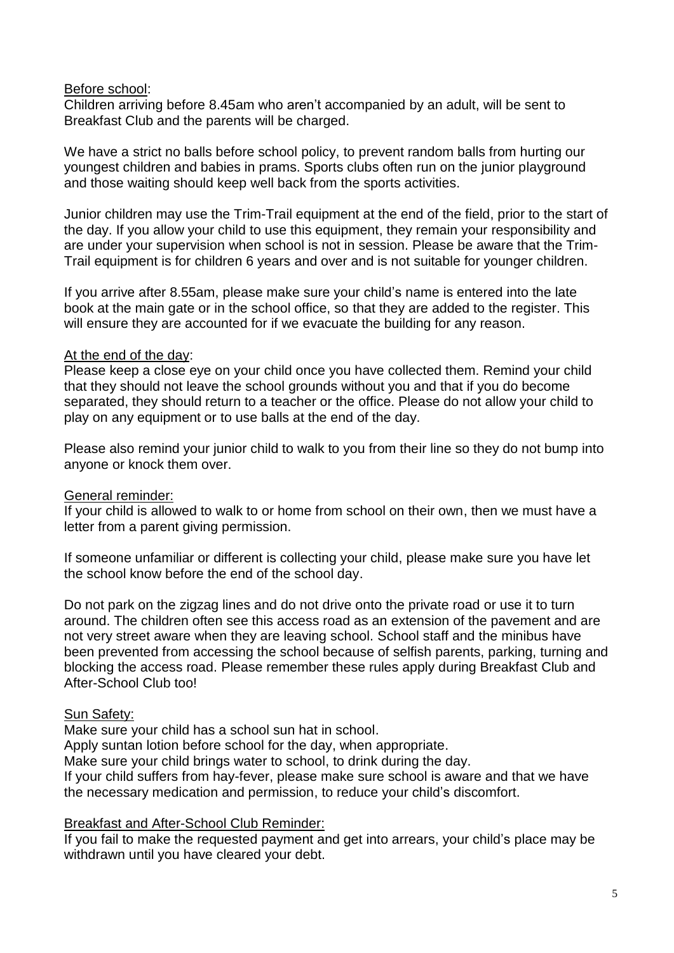#### Before school:

Children arriving before 8.45am who aren't accompanied by an adult, will be sent to Breakfast Club and the parents will be charged.

We have a strict no balls before school policy, to prevent random balls from hurting our youngest children and babies in prams. Sports clubs often run on the junior playground and those waiting should keep well back from the sports activities.

Junior children may use the Trim-Trail equipment at the end of the field, prior to the start of the day. If you allow your child to use this equipment, they remain your responsibility and are under your supervision when school is not in session. Please be aware that the Trim-Trail equipment is for children 6 years and over and is not suitable for younger children.

If you arrive after 8.55am, please make sure your child's name is entered into the late book at the main gate or in the school office, so that they are added to the register. This will ensure they are accounted for if we evacuate the building for any reason.

### At the end of the day:

Please keep a close eye on your child once you have collected them. Remind your child that they should not leave the school grounds without you and that if you do become separated, they should return to a teacher or the office. Please do not allow your child to play on any equipment or to use balls at the end of the day.

Please also remind your junior child to walk to you from their line so they do not bump into anyone or knock them over.

### General reminder:

If your child is allowed to walk to or home from school on their own, then we must have a letter from a parent giving permission.

If someone unfamiliar or different is collecting your child, please make sure you have let the school know before the end of the school day.

Do not park on the zigzag lines and do not drive onto the private road or use it to turn around. The children often see this access road as an extension of the pavement and are not very street aware when they are leaving school. School staff and the minibus have been prevented from accessing the school because of selfish parents, parking, turning and blocking the access road. Please remember these rules apply during Breakfast Club and After-School Club too!

### Sun Safety:

Make sure your child has a school sun hat in school.

Apply suntan lotion before school for the day, when appropriate.

Make sure your child brings water to school, to drink during the day.

If your child suffers from hay-fever, please make sure school is aware and that we have the necessary medication and permission, to reduce your child's discomfort.

#### Breakfast and After-School Club Reminder:

If you fail to make the requested payment and get into arrears, your child's place may be withdrawn until you have cleared your debt.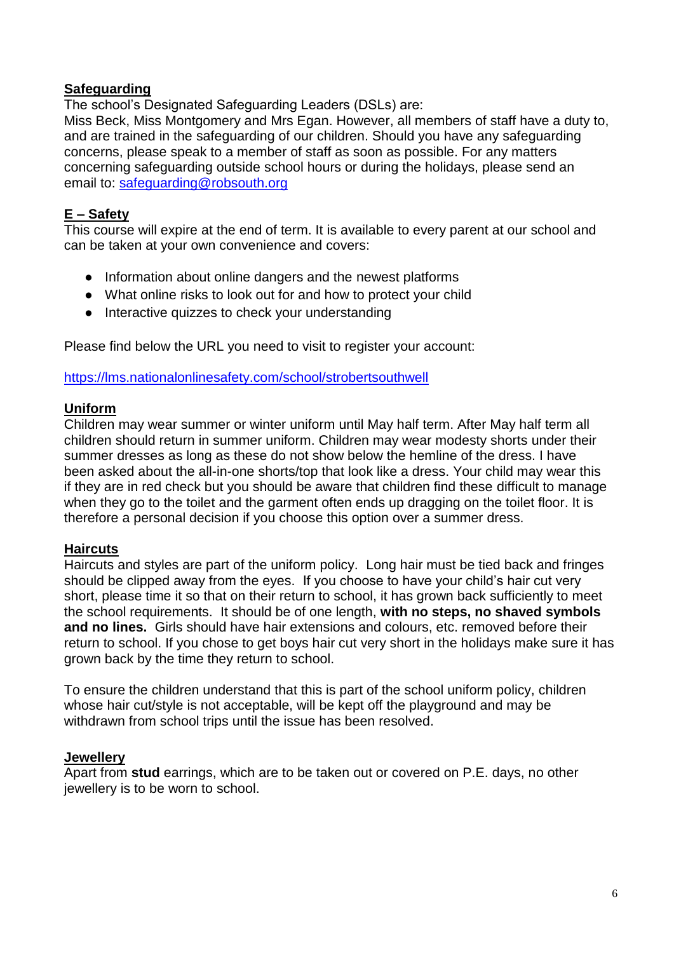### **Safeguarding**

The school's Designated Safeguarding Leaders (DSLs) are:

Miss Beck, Miss Montgomery and Mrs Egan. However, all members of staff have a duty to, and are trained in the safeguarding of our children. Should you have any safeguarding concerns, please speak to a member of staff as soon as possible. For any matters concerning safeguarding outside school hours or during the holidays, please send an email to: [safeguarding@robsouth.org](mailto:safeguarding@robsouth.org)

### **E – Safety**

This course will expire at the end of term. It is available to every parent at our school and can be taken at your own convenience and covers:

- Information about online dangers and the newest platforms
- What online risks to look out for and how to protect your child
- Interactive quizzes to check your understanding

Please find below the URL you need to visit to register your account:

<https://lms.nationalonlinesafety.com/school/strobertsouthwell>

### **Uniform**

Children may wear summer or winter uniform until May half term. After May half term all children should return in summer uniform. Children may wear modesty shorts under their summer dresses as long as these do not show below the hemline of the dress. I have been asked about the all-in-one shorts/top that look like a dress. Your child may wear this if they are in red check but you should be aware that children find these difficult to manage when they go to the toilet and the garment often ends up dragging on the toilet floor. It is therefore a personal decision if you choose this option over a summer dress.

### **Haircuts**

Haircuts and styles are part of the uniform policy. Long hair must be tied back and fringes should be clipped away from the eyes. If you choose to have your child's hair cut very short, please time it so that on their return to school, it has grown back sufficiently to meet the school requirements. It should be of one length, **with no steps, no shaved symbols and no lines.** Girls should have hair extensions and colours, etc. removed before their return to school. If you chose to get boys hair cut very short in the holidays make sure it has grown back by the time they return to school.

To ensure the children understand that this is part of the school uniform policy, children whose hair cut/style is not acceptable, will be kept off the playground and may be withdrawn from school trips until the issue has been resolved.

### **Jewellery**

Apart from **stud** earrings, which are to be taken out or covered on P.E. days, no other jewellery is to be worn to school.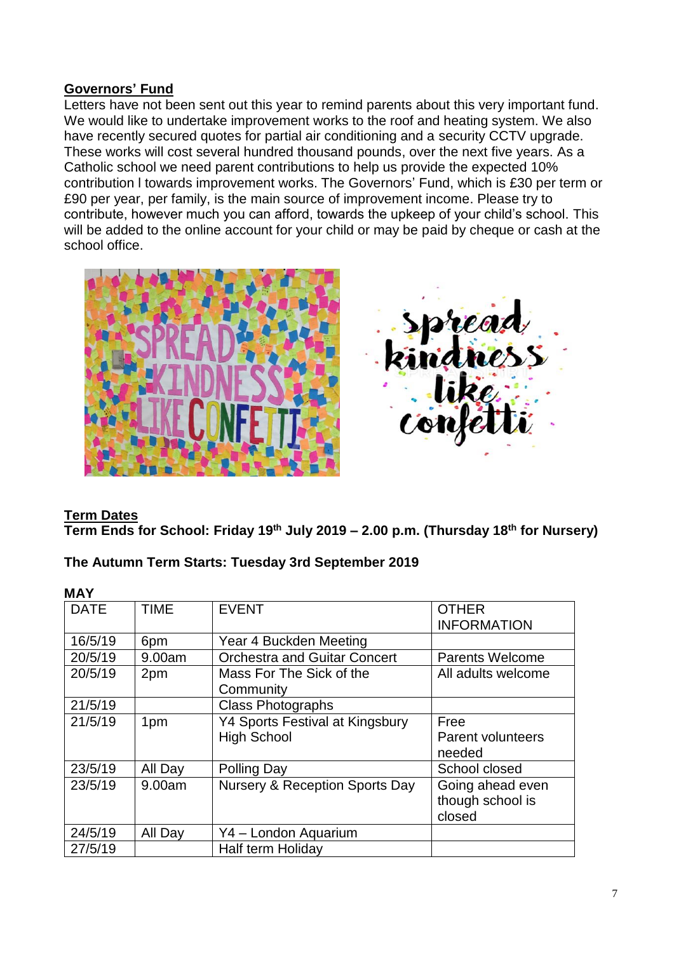# **Governors' Fund**

Letters have not been sent out this year to remind parents about this very important fund. We would like to undertake improvement works to the roof and heating system. We also have recently secured quotes for partial air conditioning and a security CCTV upgrade. These works will cost several hundred thousand pounds, over the next five years. As a Catholic school we need parent contributions to help us provide the expected 10% contribution l towards improvement works. The Governors' Fund, which is £30 per term or £90 per year, per family, is the main source of improvement income. Please try to contribute, however much you can afford, towards the upkeep of your child's school. This will be added to the online account for your child or may be paid by cheque or cash at the school office.



### **Term Dates**

**Term Ends for School: Friday 19th July 2019 – 2.00 p.m. (Thursday 18th for Nursery)**

### **The Autumn Term Starts: Tuesday 3rd September 2019**

| IVIM I      |             |                                           |                          |
|-------------|-------------|-------------------------------------------|--------------------------|
| <b>DATE</b> | <b>TIME</b> | <b>EVENT</b>                              | <b>OTHER</b>             |
|             |             |                                           | <b>INFORMATION</b>       |
| 16/5/19     | 6pm         | Year 4 Buckden Meeting                    |                          |
| 20/5/19     | 9.00am      | <b>Orchestra and Guitar Concert</b>       | <b>Parents Welcome</b>   |
| 20/5/19     | 2pm         | Mass For The Sick of the                  | All adults welcome       |
|             |             | Community                                 |                          |
| 21/5/19     |             | <b>Class Photographs</b>                  |                          |
| 21/5/19     | 1pm         | <b>Y4 Sports Festival at Kingsbury</b>    | Free                     |
|             |             | <b>High School</b>                        | <b>Parent volunteers</b> |
|             |             |                                           | needed                   |
| 23/5/19     | All Day     | <b>Polling Day</b>                        | School closed            |
| 23/5/19     | 9.00am      | <b>Nursery &amp; Reception Sports Day</b> | Going ahead even         |
|             |             |                                           | though school is         |
|             |             |                                           | closed                   |
| 24/5/19     | All Day     | Y4 - London Aquarium                      |                          |
| 27/5/19     |             | <b>Half term Holiday</b>                  |                          |

### **MAY**